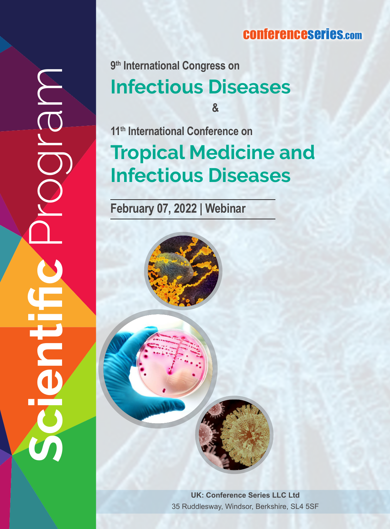### **conferenceseries.com**

# **Scientific** Program JOIQN <u>DEL</u>

**9th International Congress on<br>Infectious Diseases** 

**&**

**Tropical Medicine and Infectious Diseases 11th International Conference on**

**February 07, 2022 | Webinar**



**UK: Conference Series LLC Ltd** 35 Ruddlesway, Windsor, Berkshire, SL4 5SF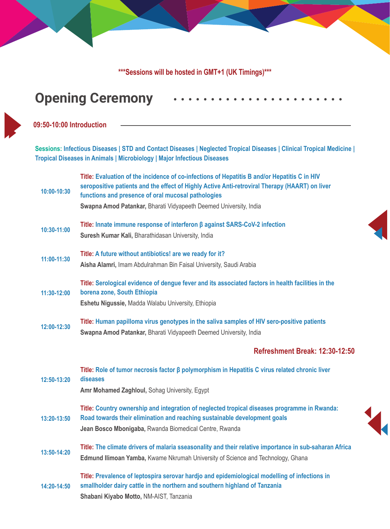**\*\*\*Sessions will be hosted in GMT+1 (UK Timings)\*\*\*** 

### **Opening Ceremony**

### **09:50-10:00 Introduction**

**Sessions: Infectious Diseases | STD and Contact Diseases | Neglected Tropical Diseases | Clinical Tropical Medicine | Tropical Diseases in Animals | Microbiology | Major Infectious Diseases**

| 10:00-10:30 | Title: Evaluation of the incidence of co-infections of Hepatitis B and/or Hepatitis C in HIV<br>seropositive patients and the effect of Highly Active Anti-retroviral Therapy (HAART) on liver<br>functions and presence of oral mucosal pathologies<br>Swapna Amod Patankar, Bharati Vidyapeeth Deemed University, India |  |
|-------------|---------------------------------------------------------------------------------------------------------------------------------------------------------------------------------------------------------------------------------------------------------------------------------------------------------------------------|--|
| 10:30-11:00 | Title: Innate immune response of interferon $\beta$ against SARS-CoV-2 infection<br>Suresh Kumar Kali, Bharathidasan University, India                                                                                                                                                                                    |  |
| 11:00-11:30 | Title: A future without antibiotics! are we ready for it?<br>Aisha Alamri, Imam Abdulrahman Bin Faisal University, Saudi Arabia                                                                                                                                                                                           |  |
| 11:30-12:00 | Title: Serological evidence of dengue fever and its associated factors in health facilities in the<br>borena zone, South Ethiopia<br>Eshetu Nigussie, Madda Walabu University, Ethiopia                                                                                                                                   |  |
| 12:00-12:30 | Title: Human papilloma virus genotypes in the saliva samples of HIV sero-positive patients<br>Swapna Amod Patankar, Bharati Vidyapeeth Deemed University, India                                                                                                                                                           |  |
|             | Refreshment Break: 12:30-12:50                                                                                                                                                                                                                                                                                            |  |
|             |                                                                                                                                                                                                                                                                                                                           |  |
| 12:50-13:20 | Title: Role of tumor necrosis factor $\beta$ polymorphism in Hepatitis C virus related chronic liver<br>diseases<br>Amr Mohamed Zaghloul, Sohag University, Egypt                                                                                                                                                         |  |
| 13:20-13:50 | Title: Country ownership and integration of neglected tropical diseases programme in Rwanda:<br>Road towards their elimination and reaching sustainable development goals<br>Jean Bosco Mbonigaba, Rwanda Biomedical Centre, Rwanda                                                                                       |  |
| 13:50-14:20 | Title: The climate drivers of malaria sseasonality and their relative importance in sub-saharan Africa<br>Edmund Ilimoan Yamba, Kwame Nkrumah University of Science and Technology, Ghana                                                                                                                                 |  |